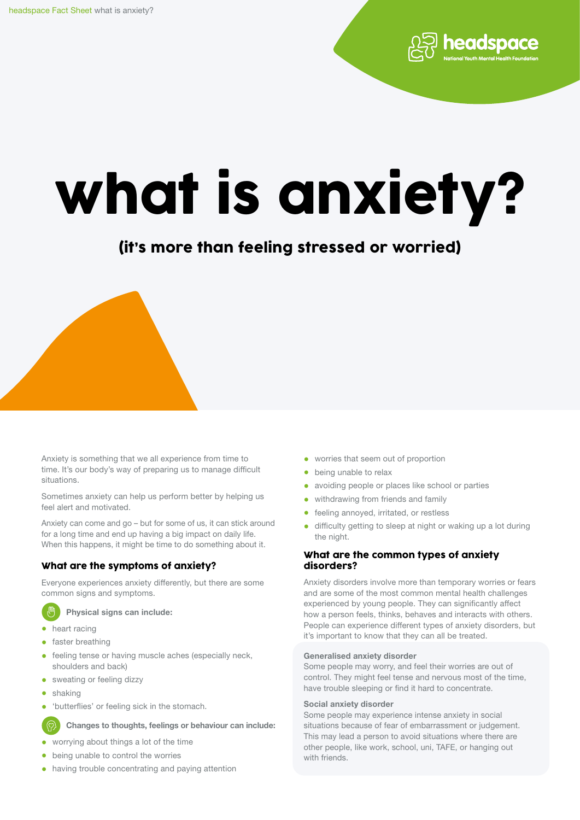# what is anxiety?

# (it's more than feeling stressed or worried)

Anxiety is something that we all experience from time to time. It's our body's way of preparing us to manage difficult situations.

Sometimes anxiety can help us perform better by helping us feel alert and motivated.

Anxiety can come and go – but for some of us, it can stick around for a long time and end up having a big impact on daily life. When this happens, it might be time to do something about it.

# What are the symptoms of anxiety?

Everyone experiences anxiety differently, but there are some common signs and symptoms.

Physical signs can include:

- heart racing
- faster breathing
- feeling tense or having muscle aches (especially neck, shoulders and back)
- sweating or feeling dizzy
- shaking

<u>(ෆු</u>

• 'butterflies' or feeling sick in the stomach.

Changes to thoughts, feelings or behaviour can include:

- worrying about things a lot of the time
- being unable to control the worries
- having trouble concentrating and paying attention
- worries that seem out of proportion
- being unable to relax
- avoiding people or places like school or parties
- withdrawing from friends and family
- feeling annoyed, irritated, or restless
- difficulty getting to sleep at night or waking up a lot during the night.

headspace

### What are the common types of anxiety disorders?

Anxiety disorders involve more than temporary worries or fears and are some of the most common mental health challenges experienced by young people. They can significantly affect how a person feels, thinks, behaves and interacts with others. People can experience different types of anxiety disorders, but it's important to know that they can all be treated.

#### Generalised anxiety disorder

Some people may worry, and feel their worries are out of control. They might feel tense and nervous most of the time, have trouble sleeping or find it hard to concentrate.

#### Social anxiety disorder

Some people may experience intense anxiety in social situations because of fear of embarrassment or judgement. This may lead a person to avoid situations where there are other people, like work, school, uni, TAFE, or hanging out with friends.